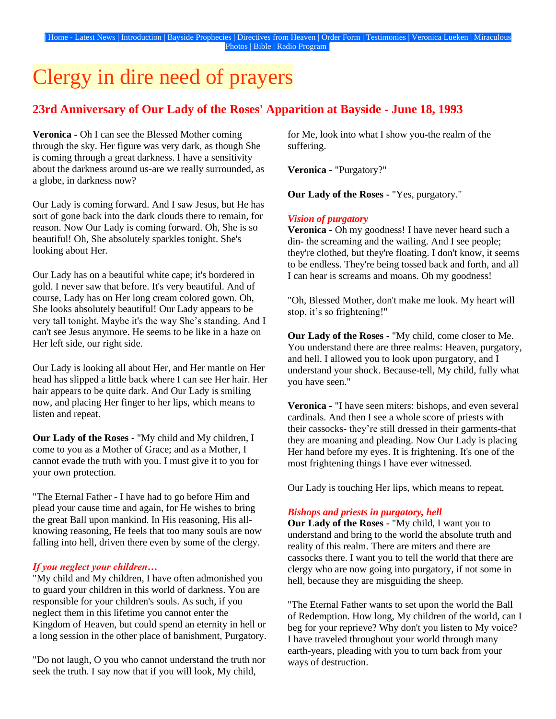# Clergy in dire need of prayers

## **23rd Anniversary of Our Lady of the Roses' Apparition at Bayside - June 18, 1993**

**Veronica -** Oh I can see the Blessed Mother coming through the sky. Her figure was very dark, as though She is coming through a great darkness. I have a sensitivity about the darkness around us-are we really surrounded, as a globe, in darkness now?

Our Lady is coming forward. And I saw Jesus, but He has sort of gone back into the dark clouds there to remain, for reason. Now Our Lady is coming forward. Oh, She is so beautiful! Oh, She absolutely sparkles tonight. She's looking about Her.

Our Lady has on a beautiful white cape; it's bordered in gold. I never saw that before. It's very beautiful. And of course, Lady has on Her long cream colored gown. Oh, She looks absolutely beautiful! Our Lady appears to be very tall tonight. Maybe it's the way She's standing. And I can't see Jesus anymore. He seems to be like in a haze on Her left side, our right side.

Our Lady is looking all about Her, and Her mantle on Her head has slipped a little back where I can see Her hair. Her hair appears to be quite dark. And Our Lady is smiling now, and placing Her finger to her lips, which means to listen and repeat.

**Our Lady of the Roses -** "My child and My children, I come to you as a Mother of Grace; and as a Mother, I cannot evade the truth with you. I must give it to you for your own protection.

"The Eternal Father - I have had to go before Him and plead your cause time and again, for He wishes to bring the great Ball upon mankind. In His reasoning, His allknowing reasoning, He feels that too many souls are now falling into hell, driven there even by some of the clergy.

## *If you neglect your children…*

"My child and My children, I have often admonished you to guard your children in this world of darkness. You are responsible for your children's souls. As such, if you neglect them in this lifetime you cannot enter the Kingdom of Heaven, but could spend an eternity in hell or a long session in the other place of banishment, Purgatory.

"Do not laugh, O you who cannot understand the truth nor seek the truth. I say now that if you will look, My child,

for Me, look into what I show you-the realm of the suffering.

**Veronica -** "Purgatory?"

**Our Lady of the Roses -** "Yes, purgatory."

## *Vision of purgatory*

**Veronica -** Oh my goodness! I have never heard such a din- the screaming and the wailing. And I see people; they're clothed, but they're floating. I don't know, it seems to be endless. They're being tossed back and forth, and all I can hear is screams and moans. Oh my goodness!

"Oh, Blessed Mother, don't make me look. My heart will stop, it's so frightening!"

**Our Lady of the Roses -** "My child, come closer to Me. You understand there are three realms: Heaven, purgatory, and hell. I allowed you to look upon purgatory, and I understand your shock. Because-tell, My child, fully what you have seen."

**Veronica -** "I have seen miters: bishops, and even several cardinals. And then I see a whole score of priests with their cassocks- they're still dressed in their garments-that they are moaning and pleading. Now Our Lady is placing Her hand before my eyes. It is frightening. It's one of the most frightening things I have ever witnessed.

Our Lady is touching Her lips, which means to repeat.

## *Bishops and priests in purgatory, hell*

**Our Lady of the Roses -** "My child, I want you to understand and bring to the world the absolute truth and reality of this realm. There are miters and there are cassocks there. I want you to tell the world that there are clergy who are now going into purgatory, if not some in hell, because they are misguiding the sheep.

"The Eternal Father wants to set upon the world the Ball of Redemption. How long, My children of the world, can I beg for your reprieve? Why don't you listen to My voice? I have traveled throughout your world through many earth-years, pleading with you to turn back from your ways of destruction.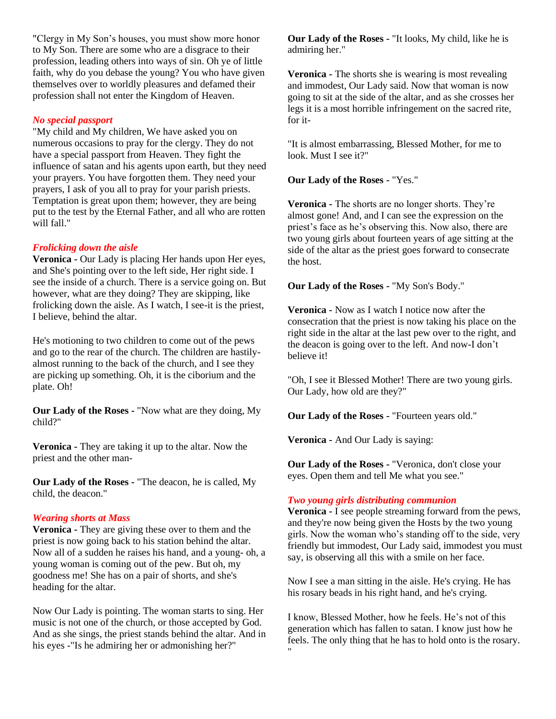"Clergy in My Son's houses, you must show more honor to My Son. There are some who are a disgrace to their profession, leading others into ways of sin. Oh ye of little faith, why do you debase the young? You who have given themselves over to worldly pleasures and defamed their profession shall not enter the Kingdom of Heaven.

## *No special passport*

"My child and My children, We have asked you on numerous occasions to pray for the clergy. They do not have a special passport from Heaven. They fight the influence of satan and his agents upon earth, but they need your prayers. You have forgotten them. They need your prayers, I ask of you all to pray for your parish priests. Temptation is great upon them; however, they are being put to the test by the Eternal Father, and all who are rotten will fall."

## *Frolicking down the aisle*

**Veronica -** Our Lady is placing Her hands upon Her eyes, and She's pointing over to the left side, Her right side. I see the inside of a church. There is a service going on. But however, what are they doing? They are skipping, like frolicking down the aisle. As I watch, I see-it is the priest, I believe, behind the altar.

He's motioning to two children to come out of the pews and go to the rear of the church. The children are hastilyalmost running to the back of the church, and I see they are picking up something. Oh, it is the ciborium and the plate. Oh!

**Our Lady of the Roses -** "Now what are they doing, My child?"

**Veronica -** They are taking it up to the altar. Now the priest and the other man-

**Our Lady of the Roses -** "The deacon, he is called, My child, the deacon."

#### *Wearing shorts at Mass*

**Veronica -** They are giving these over to them and the priest is now going back to his station behind the altar. Now all of a sudden he raises his hand, and a young- oh, a young woman is coming out of the pew. But oh, my goodness me! She has on a pair of shorts, and she's heading for the altar.

Now Our Lady is pointing. The woman starts to sing. Her music is not one of the church, or those accepted by God. And as she sings, the priest stands behind the altar. And in his eyes -"Is he admiring her or admonishing her?"

**Our Lady of the Roses -** "It looks, My child, like he is admiring her."

**Veronica -** The shorts she is wearing is most revealing and immodest, Our Lady said. Now that woman is now going to sit at the side of the altar, and as she crosses her legs it is a most horrible infringement on the sacred rite, for it-

"It is almost embarrassing, Blessed Mother, for me to look. Must I see it?"

**Our Lady of the Roses -** "Yes."

**Veronica -** The shorts are no longer shorts. They're almost gone! And, and I can see the expression on the priest's face as he's observing this. Now also, there are two young girls about fourteen years of age sitting at the side of the altar as the priest goes forward to consecrate the host.

**Our Lady of the Roses -** "My Son's Body."

**Veronica -** Now as I watch I notice now after the consecration that the priest is now taking his place on the right side in the altar at the last pew over to the right, and the deacon is going over to the left. And now-I don't believe it!

"Oh, I see it Blessed Mother! There are two young girls. Our Lady, how old are they?"

**Our Lady of the Roses -** "Fourteen years old."

**Veronica -** And Our Lady is saying:

**Our Lady of the Roses -** "Veronica, don't close your eyes. Open them and tell Me what you see."

## *Two young girls distributing communion*

**Veronica -** I see people streaming forward from the pews, and they're now being given the Hosts by the two young girls. Now the woman who's standing off to the side, very friendly but immodest, Our Lady said, immodest you must say, is observing all this with a smile on her face.

Now I see a man sitting in the aisle. He's crying. He has his rosary beads in his right hand, and he's crying.

I know, Blessed Mother, how he feels. He's not of this generation which has fallen to satan. I know just how he feels. The only thing that he has to hold onto is the rosary. "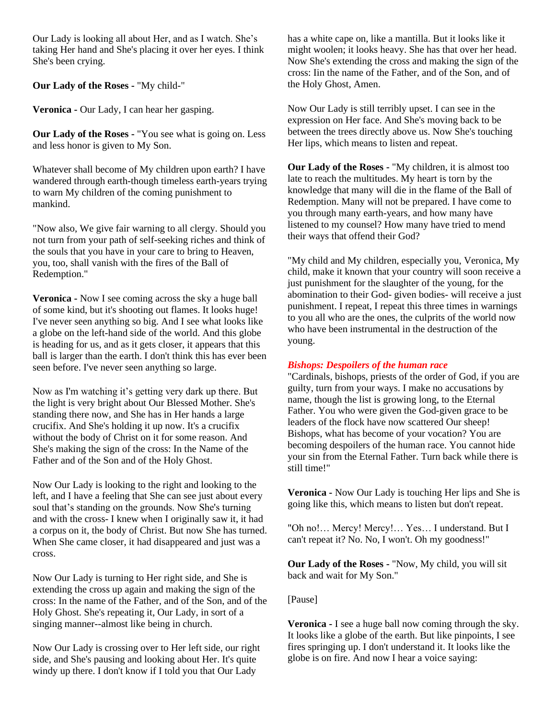Our Lady is looking all about Her, and as I watch. She's taking Her hand and She's placing it over her eyes. I think She's been crying.

**Our Lady of the Roses -** "My child-"

**Veronica -** Our Lady, I can hear her gasping.

**Our Lady of the Roses -** "You see what is going on. Less and less honor is given to My Son.

Whatever shall become of My children upon earth? I have wandered through earth-though timeless earth-years trying to warn My children of the coming punishment to mankind.

"Now also, We give fair warning to all clergy. Should you not turn from your path of self-seeking riches and think of the souls that you have in your care to bring to Heaven, you, too, shall vanish with the fires of the Ball of Redemption."

**Veronica -** Now I see coming across the sky a huge ball of some kind, but it's shooting out flames. It looks huge! I've never seen anything so big. And I see what looks like a globe on the left-hand side of the world. And this globe is heading for us, and as it gets closer, it appears that this ball is larger than the earth. I don't think this has ever been seen before. I've never seen anything so large.

Now as I'm watching it's getting very dark up there. But the light is very bright about Our Blessed Mother. She's standing there now, and She has in Her hands a large crucifix. And She's holding it up now. It's a crucifix without the body of Christ on it for some reason. And She's making the sign of the cross: In the Name of the Father and of the Son and of the Holy Ghost.

Now Our Lady is looking to the right and looking to the left, and I have a feeling that She can see just about every soul that's standing on the grounds. Now She's turning and with the cross- I knew when I originally saw it, it had a corpus on it, the body of Christ. But now She has turned. When She came closer, it had disappeared and just was a cross.

Now Our Lady is turning to Her right side, and She is extending the cross up again and making the sign of the cross: In the name of the Father, and of the Son, and of the Holy Ghost. She's repeating it, Our Lady, in sort of a singing manner--almost like being in church.

Now Our Lady is crossing over to Her left side, our right side, and She's pausing and looking about Her. It's quite windy up there. I don't know if I told you that Our Lady

has a white cape on, like a mantilla. But it looks like it might woolen; it looks heavy. She has that over her head. Now She's extending the cross and making the sign of the cross: Iin the name of the Father, and of the Son, and of the Holy Ghost, Amen.

Now Our Lady is still terribly upset. I can see in the expression on Her face. And She's moving back to be between the trees directly above us. Now She's touching Her lips, which means to listen and repeat.

**Our Lady of the Roses -** "My children, it is almost too late to reach the multitudes. My heart is torn by the knowledge that many will die in the flame of the Ball of Redemption. Many will not be prepared. I have come to you through many earth-years, and how many have listened to my counsel? How many have tried to mend their ways that offend their God?

"My child and My children, especially you, Veronica, My child, make it known that your country will soon receive a just punishment for the slaughter of the young, for the abomination to their God- given bodies- will receive a just punishment. I repeat, I repeat this three times in warnings to you all who are the ones, the culprits of the world now who have been instrumental in the destruction of the young.

## *Bishops: Despoilers of the human race*

"Cardinals, bishops, priests of the order of God, if you are guilty, turn from your ways. I make no accusations by name, though the list is growing long, to the Eternal Father. You who were given the God-given grace to be leaders of the flock have now scattered Our sheep! Bishops, what has become of your vocation? You are becoming despoilers of the human race. You cannot hide your sin from the Eternal Father. Turn back while there is still time!"

**Veronica -** Now Our Lady is touching Her lips and She is going like this, which means to listen but don't repeat.

"Oh no!… Mercy! Mercy!… Yes… I understand. But I can't repeat it? No. No, I won't. Oh my goodness!"

**Our Lady of the Roses -** "Now, My child, you will sit back and wait for My Son."

[Pause]

**Veronica -** I see a huge ball now coming through the sky. It looks like a globe of the earth. But like pinpoints, I see fires springing up. I don't understand it. It looks like the globe is on fire. And now I hear a voice saying: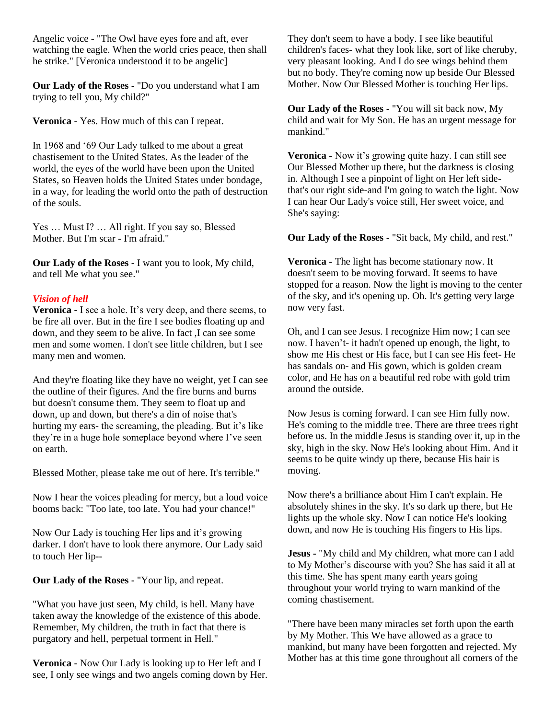Angelic voice - "The Owl have eyes fore and aft, ever watching the eagle. When the world cries peace, then shall he strike." [Veronica understood it to be angelic]

**Our Lady of the Roses -** "Do you understand what I am trying to tell you, My child?"

**Veronica -** Yes. How much of this can I repeat.

In 1968 and '69 Our Lady talked to me about a great chastisement to the United States. As the leader of the world, the eyes of the world have been upon the United States, so Heaven holds the United States under bondage, in a way, for leading the world onto the path of destruction of the souls.

Yes ... Must I? ... All right. If you say so, Blessed Mother. But I'm scar - I'm afraid."

**Our Lady of the Roses -** I want you to look, My child, and tell Me what you see."

## *Vision of hell*

**Veronica -** I see a hole. It's very deep, and there seems, to be fire all over. But in the fire I see bodies floating up and down, and they seem to be alive. In fact ,I can see some men and some women. I don't see little children, but I see many men and women.

And they're floating like they have no weight, yet I can see the outline of their figures. And the fire burns and burns but doesn't consume them. They seem to float up and down, up and down, but there's a din of noise that's hurting my ears- the screaming, the pleading. But it's like they're in a huge hole someplace beyond where I've seen on earth.

Blessed Mother, please take me out of here. It's terrible."

Now I hear the voices pleading for mercy, but a loud voice booms back: "Too late, too late. You had your chance!"

Now Our Lady is touching Her lips and it's growing darker. I don't have to look there anymore. Our Lady said to touch Her lip--

**Our Lady of the Roses -** "Your lip, and repeat.

"What you have just seen, My child, is hell. Many have taken away the knowledge of the existence of this abode. Remember, My children, the truth in fact that there is purgatory and hell, perpetual torment in Hell."

**Veronica -** Now Our Lady is looking up to Her left and I see, I only see wings and two angels coming down by Her. They don't seem to have a body. I see like beautiful children's faces- what they look like, sort of like cheruby, very pleasant looking. And I do see wings behind them but no body. They're coming now up beside Our Blessed Mother. Now Our Blessed Mother is touching Her lips.

**Our Lady of the Roses -** "You will sit back now, My child and wait for My Son. He has an urgent message for mankind."

**Veronica -** Now it's growing quite hazy. I can still see Our Blessed Mother up there, but the darkness is closing in. Although I see a pinpoint of light on Her left sidethat's our right side-and I'm going to watch the light. Now I can hear Our Lady's voice still, Her sweet voice, and She's saying:

**Our Lady of the Roses -** "Sit back, My child, and rest."

**Veronica -** The light has become stationary now. It doesn't seem to be moving forward. It seems to have stopped for a reason. Now the light is moving to the center of the sky, and it's opening up. Oh. It's getting very large now very fast.

Oh, and I can see Jesus. I recognize Him now; I can see now. I haven't- it hadn't opened up enough, the light, to show me His chest or His face, but I can see His feet- He has sandals on- and His gown, which is golden cream color, and He has on a beautiful red robe with gold trim around the outside.

Now Jesus is coming forward. I can see Him fully now. He's coming to the middle tree. There are three trees right before us. In the middle Jesus is standing over it, up in the sky, high in the sky. Now He's looking about Him. And it seems to be quite windy up there, because His hair is moving.

Now there's a brilliance about Him I can't explain. He absolutely shines in the sky. It's so dark up there, but He lights up the whole sky. Now I can notice He's looking down, and now He is touching His fingers to His lips.

**Jesus -** "My child and My children, what more can I add to My Mother's discourse with you? She has said it all at this time. She has spent many earth years going throughout your world trying to warn mankind of the coming chastisement.

"There have been many miracles set forth upon the earth by My Mother. This We have allowed as a grace to mankind, but many have been forgotten and rejected. My Mother has at this time gone throughout all corners of the